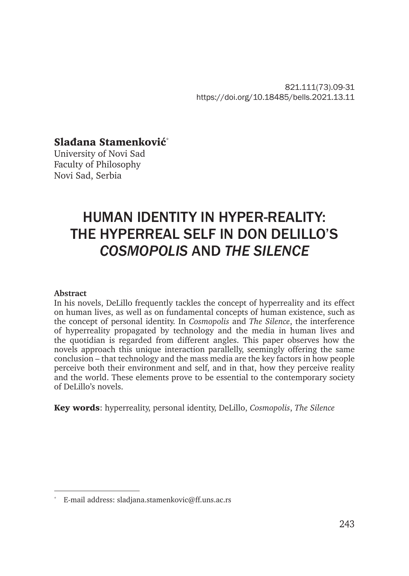821.111(73).09-31 https://doi.org/10.18485/bells.2021.13.11

# Slađana Stamenković\*

University of Novi Sad Faculty of Philosophy Novi Sad, Serbia

# HUMAN IDENTITY IN HYPER-REALITY: THE HYPERREAL SELF IN DON DELILLO'S *COSMOPOLIS* AND *THE SILENCE*

#### **Abstract**

In his novels, DeLillo frequently tackles the concept of hyperreality and its effect on human lives, as well as on fundamental concepts of human existence, such as the concept of personal identity. In *Cosmopolis* and *The Silence*, the interference of hyperreality propagated by technology and the media in human lives and the quotidian is regarded from different angles. This paper observes how the novels approach this unique interaction parallelly, seemingly offering the same conclusion – that technology and the mass media are the key factors in how people perceive both their environment and self, and in that, how they perceive reality and the world. These elements prove to be essential to the contemporary society of DeLillo's novels.

Key words: hyperreality, personal identity, DeLillo, *Cosmopolis*, *The Silence*

E-mail address: sladjana.stamenkovic@ff.uns.ac.rs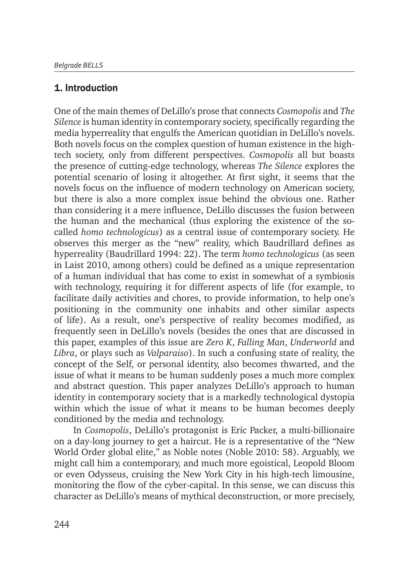# 1. Introduction

One of the main themes of DeLillo's prose that connects *Cosmopolis* and *The Silence* is human identity in contemporary society, specifically regarding the media hyperreality that engulfs the American quotidian in DeLillo's novels. Both novels focus on the complex question of human existence in the hightech society, only from different perspectives. *Cosmopolis* all but boasts the presence of cutting-edge technology, whereas *The Silence* explores the potential scenario of losing it altogether. At first sight, it seems that the novels focus on the influence of modern technology on American society, but there is also a more complex issue behind the obvious one. Rather than considering it a mere influence, DeLillo discusses the fusion between the human and the mechanical (thus exploring the existence of the socalled *homo technologicus*) as a central issue of contemporary society. He observes this merger as the "new" reality, which Baudrillard defines as hyperreality (Baudrillard 1994: 22). The term *homo technologicus* (as seen in Laist 2010, among others) could be defined as a unique representation of a human individual that has come to exist in somewhat of a symbiosis with technology, requiring it for different aspects of life (for example, to facilitate daily activities and chores, to provide information, to help one's positioning in the community one inhabits and other similar aspects of life). As a result, one's perspective of reality becomes modified, as frequently seen in DeLillo's novels (besides the ones that are discussed in this paper, examples of this issue are *Zero K*, *Falling Man*, *Underworld* and *Libra*, or plays such as *Valparaiso*). In such a confusing state of reality, the concept of the Self, or personal identity, also becomes thwarted, and the issue of what it means to be human suddenly poses a much more complex and abstract question. This paper analyzes DeLillo's approach to human identity in contemporary society that is a markedly technological dystopia within which the issue of what it means to be human becomes deeply conditioned by the media and technology.

In *Cosmopolis*, DeLillo's protagonist is Eric Packer, a multi-billionaire on a day-long journey to get a haircut. He is a representative of the "New World Order global elite," as Noble notes (Noble 2010: 58). Arguably, we might call him a contemporary, and much more egoistical, Leopold Bloom or even Odysseus, cruising the New York City in his high-tech limousine, monitoring the flow of the cyber-capital. In this sense, we can discuss this character as DeLillo's means of mythical deconstruction, or more precisely,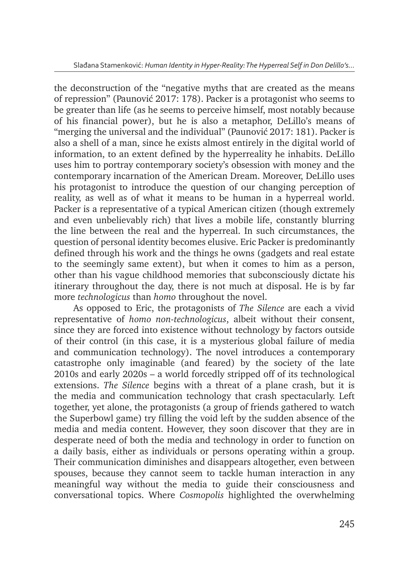the deconstruction of the "negative myths that are created as the means of repression" (Paunović 2017: 178). Packer is a protagonist who seems to be greater than life (as he seems to perceive himself, most notably because of his financial power), but he is also a metaphor, DeLillo's means of "merging the universal and the individual" (Paunović 2017: 181). Packer is also a shell of a man, since he exists almost entirely in the digital world of information, to an extent defined by the hyperreality he inhabits. DeLillo uses him to portray contemporary society's obsession with money and the contemporary incarnation of the American Dream. Moreover, DeLillo uses his protagonist to introduce the question of our changing perception of reality, as well as of what it means to be human in a hyperreal world. Packer is a representative of a typical American citizen (though extremely and even unbelievably rich) that lives a mobile life, constantly blurring the line between the real and the hyperreal. In such circumstances, the question of personal identity becomes elusive. Eric Packer is predominantly defined through his work and the things he owns (gadgets and real estate to the seemingly same extent), but when it comes to him as a person, other than his vague childhood memories that subconsciously dictate his itinerary throughout the day, there is not much at disposal. He is by far more *technologicus* than *homo* throughout the novel.

As opposed to Eric, the protagonists of *The Silence* are each a vivid representative of *homo non-technologicus*, albeit without their consent, since they are forced into existence without technology by factors outside of their control (in this case, it is a mysterious global failure of media and communication technology). The novel introduces a contemporary catastrophe only imaginable (and feared) by the society of the late 2010s and early 2020s – a world forcedly stripped off of its technological extensions. *The Silence* begins with a threat of a plane crash, but it is the media and communication technology that crash spectacularly. Left together, yet alone, the protagonists (a group of friends gathered to watch the Superbowl game) try filling the void left by the sudden absence of the media and media content. However, they soon discover that they are in desperate need of both the media and technology in order to function on a daily basis, either as individuals or persons operating within a group. Their communication diminishes and disappears altogether, even between spouses, because they cannot seem to tackle human interaction in any meaningful way without the media to guide their consciousness and conversational topics. Where *Cosmopolis* highlighted the overwhelming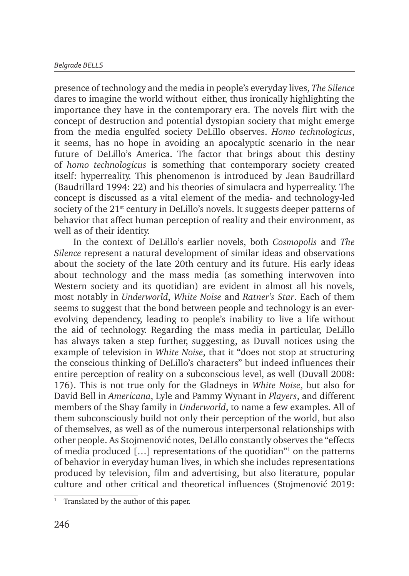presence of technology and the media in people's everyday lives, *The Silence* dares to imagine the world without either, thus ironically highlighting the importance they have in the contemporary era. The novels flirt with the concept of destruction and potential dystopian society that might emerge from the media engulfed society DeLillo observes. *Homo technologicus*, it seems, has no hope in avoiding an apocalyptic scenario in the near future of DeLillo's America. The factor that brings about this destiny of *homo technologicus* is something that contemporary society created itself: hyperreality. This phenomenon is introduced by Jean Baudrillard (Baudrillard 1994: 22) and his theories of simulacra and hyperreality. The concept is discussed as a vital element of the media- and technology-led society of the 21<sup>st</sup> century in DeLillo's novels. It suggests deeper patterns of behavior that affect human perception of reality and their environment, as well as of their identity.

In the context of DeLillo's earlier novels, both *Cosmopolis* and *The Silence* represent a natural development of similar ideas and observations about the society of the late 20th century and its future. His early ideas about technology and the mass media (as something interwoven into Western society and its quotidian) are evident in almost all his novels, most notably in *Underworld*, *White Noise* and *Ratner's Star*. Each of them seems to suggest that the bond between people and technology is an everevolving dependency, leading to people's inability to live a life without the aid of technology. Regarding the mass media in particular, DeLillo has always taken a step further, suggesting, as Duvall notices using the example of television in *White Noise*, that it "does not stop at structuring the conscious thinking of DeLillo's characters" but indeed influences their entire perception of reality on a subconscious level, as well (Duvall 2008: 176). This is not true only for the Gladneys in *White Noise*, but also for David Bell in *Americana*, Lyle and Pammy Wynant in *Players*, and different members of the Shay family in *Underworld*, to name a few examples. All of them subconsciously build not only their perception of the world, but also of themselves, as well as of the numerous interpersonal relationships with other people. As Stojmenović notes, DeLillo constantly observes the "effects of media produced […] representations of the quotidian"<sup>1</sup> on the patterns of behavior in everyday human lives, in which she includes representations produced by television, film and advertising, but also literature, popular culture and other critical and theoretical influences (Stojmenović 2019:

<sup>&</sup>lt;sup>1</sup> Translated by the author of this paper.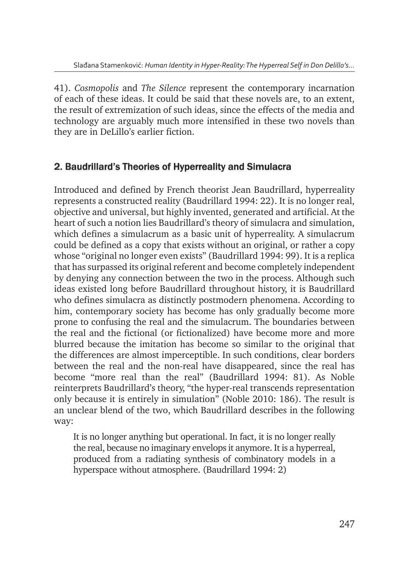41). *Cosmopolis* and *The Silence* represent the contemporary incarnation of each of these ideas. It could be said that these novels are, to an extent, the result of extremization of such ideas, since the effects of the media and technology are arguably much more intensified in these two novels than they are in DeLillo's earlier fiction.

# 2. Baudrillard's Theories of Hyperreality and Simulacra

Introduced and defined by French theorist Jean Baudrillard, hyperreality represents a constructed reality (Baudrillard 1994: 22). It is no longer real, objective and universal, but highly invented, generated and artificial. At the heart of such a notion lies Baudrillard's theory of simulacra and simulation, which defines a simulacrum as a basic unit of hyperreality. A simulacrum could be defined as a copy that exists without an original, or rather a copy whose "original no longer even exists" (Baudrillard 1994: 99). It is a replica that has surpassed its original referent and become completely independent by denying any connection between the two in the process. Although such ideas existed long before Baudrillard throughout history, it is Baudrillard who defines simulacra as distinctly postmodern phenomena. According to him, contemporary society has become has only gradually become more prone to confusing the real and the simulacrum. The boundaries between the real and the fictional (or fictionalized) have become more and more blurred because the imitation has become so similar to the original that the differences are almost imperceptible. In such conditions, clear borders between the real and the non-real have disappeared, since the real has become "more real than the real" (Baudrillard 1994: 81). As Noble reinterprets Baudrillard's theory, "the hyper-real transcends representation only because it is entirely in simulation" (Noble 2010: 186). The result is an unclear blend of the two, which Baudrillard describes in the following way:

It is no longer anything but operational. In fact, it is no longer really the real, because no imaginary envelops it anymore. It is a hyperreal, produced from a radiating synthesis of combinatory models in a hyperspace without atmosphere. (Baudrillard 1994: 2)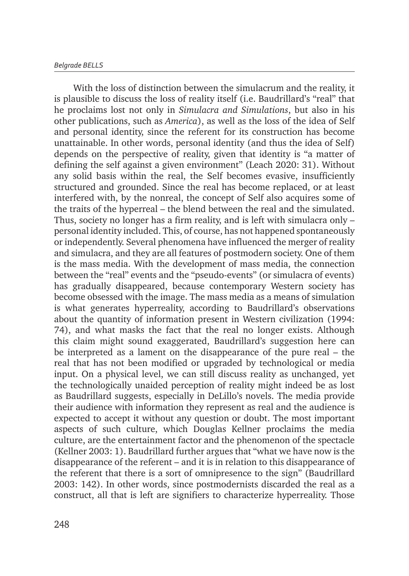With the loss of distinction between the simulacrum and the reality, it is plausible to discuss the loss of reality itself (i.e. Baudrillard's "real" that he proclaims lost not only in *Simulacra and Simulations*, but also in his other publications, such as *America*), as well as the loss of the idea of Self and personal identity, since the referent for its construction has become unattainable. In other words, personal identity (and thus the idea of Self) depends on the perspective of reality, given that identity is "a matter of defining the self against a given environment" (Leach 2020: 31). Without any solid basis within the real, the Self becomes evasive, insufficiently structured and grounded. Since the real has become replaced, or at least interfered with, by the nonreal, the concept of Self also acquires some of the traits of the hyperreal – the blend between the real and the simulated. Thus, society no longer has a firm reality, and is left with simulacra only – personal identity included. This, of course, has not happened spontaneously or independently. Several phenomena have influenced the merger of reality and simulacra, and they are all features of postmodern society. One of them is the mass media. With the development of mass media, the connection between the "real" events and the "pseudo-events" (or simulacra of events) has gradually disappeared, because contemporary Western society has become obsessed with the image. The mass media as a means of simulation is what generates hyperreality, according to Baudrillard's observations about the quantity of information present in Western civilization (1994: 74), and what masks the fact that the real no longer exists. Although this claim might sound exaggerated, Baudrillard's suggestion here can be interpreted as a lament on the disappearance of the pure real – the real that has not been modified or upgraded by technological or media input. On a physical level, we can still discuss reality as unchanged, yet the technologically unaided perception of reality might indeed be as lost as Baudrillard suggests, especially in DeLillo's novels. The media provide their audience with information they represent as real and the audience is expected to accept it without any question or doubt. The most important aspects of such culture, which Douglas Kellner proclaims the media culture, are the entertainment factor and the phenomenon of the spectacle (Kellner 2003: 1). Baudrillard further argues that "what we have now is the disappearance of the referent – and it is in relation to this disappearance of the referent that there is a sort of omnipresence to the sign" (Baudrillard 2003: 142). In other words, since postmodernists discarded the real as a construct, all that is left are signifiers to characterize hyperreality. Those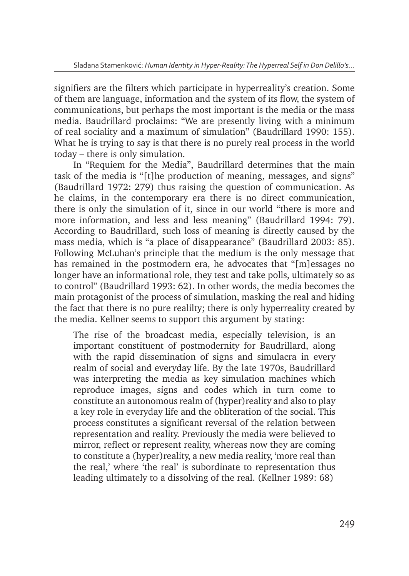signifiers are the filters which participate in hyperreality's creation. Some of them are language, information and the system of its flow, the system of communications, but perhaps the most important is the media or the mass media. Baudrillard proclaims: "We are presently living with a minimum of real sociality and a maximum of simulation" (Baudrillard 1990: 155). What he is trying to say is that there is no purely real process in the world today – there is only simulation.

In "Requiem for the Media", Baudrillard determines that the main task of the media is "[t]he production of meaning, messages, and signs" (Baudrillard 1972: 279) thus raising the question of communication. As he claims, in the contemporary era there is no direct communication, there is only the simulation of it, since in our world "there is more and more information, and less and less meaning" (Baudrillard 1994: 79). According to Baudrillard, such loss of meaning is directly caused by the mass media, which is "a place of disappearance" (Baudrillard 2003: 85). Following McLuhan's principle that the medium is the only message that has remained in the postmodern era, he advocates that "[m]essages no longer have an informational role, they test and take polls, ultimately so as to control" (Baudrillard 1993: 62). In other words, the media becomes the main protagonist of the process of simulation, masking the real and hiding the fact that there is no pure realilty; there is only hyperreality created by the media. Kellner seems to support this argument by stating:

The rise of the broadcast media, especially television, is an important constituent of postmodernity for Baudrillard, along with the rapid dissemination of signs and simulacra in every realm of social and everyday life. By the late 1970s, Baudrillard was interpreting the media as key simulation machines which reproduce images, signs and codes which in turn come to constitute an autonomous realm of (hyper)reality and also to play a key role in everyday life and the obliteration of the social. This process constitutes a significant reversal of the relation between representation and reality. Previously the media were believed to mirror, reflect or represent reality, whereas now they are coming to constitute a (hyper)reality, a new media reality, 'more real than the real,' where 'the real' is subordinate to representation thus leading ultimately to a dissolving of the real. (Kellner 1989: 68)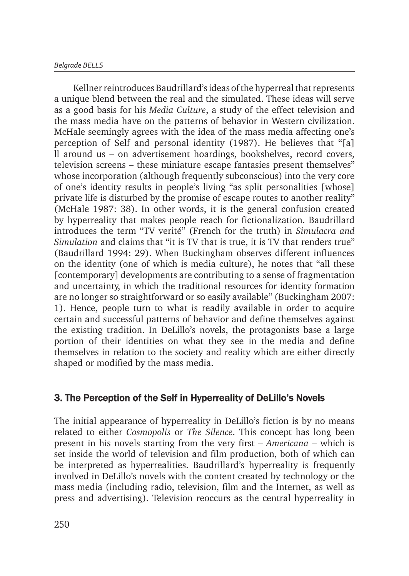Kellner reintroduces Baudrillard's ideas of the hyperreal that represents a unique blend between the real and the simulated. These ideas will serve as a good basis for his *Media Culture*, a study of the effect television and the mass media have on the patterns of behavior in Western civilization. McHale seemingly agrees with the idea of the mass media affecting one's perception of Self and personal identity (1987). He believes that "[a] ll around us – on advertisement hoardings, bookshelves, record covers, television screens – these miniature escape fantasies present themselves" whose incorporation (although frequently subconscious) into the very core of one's identity results in people's living "as split personalities [whose] private life is disturbed by the promise of escape routes to another reality" (McHale 1987: 38). In other words, it is the general confusion created by hyperreality that makes people reach for fictionalization. Baudrillard introduces the term "TV verité" (French for the truth) in *Simulacra and Simulation* and claims that "it is TV that is true, it is TV that renders true" (Baudrillard 1994: 29). When Buckingham observes different influences on the identity (one of which is media culture), he notes that "all these [contemporary] developments are contributing to a sense of fragmentation and uncertainty, in which the traditional resources for identity formation are no longer so straightforward or so easily available" (Buckingham 2007: 1). Hence, people turn to what is readily available in order to acquire certain and successful patterns of behavior and define themselves against the existing tradition. In DeLillo's novels, the protagonists base a large portion of their identities on what they see in the media and define themselves in relation to the society and reality which are either directly shaped or modified by the mass media.

# 3. The Perception of the Self in Hyperreality of DeLillo's Novels

The initial appearance of hyperreality in DeLillo's fiction is by no means related to either *Cosmopolis* or *The Silence*. This concept has long been present in his novels starting from the very first – *Americana* – which is set inside the world of television and film production, both of which can be interpreted as hyperrealities. Baudrillard's hyperreality is frequently involved in DeLillo's novels with the content created by technology or the mass media (including radio, television, film and the Internet, as well as press and advertising). Television reoccurs as the central hyperreality in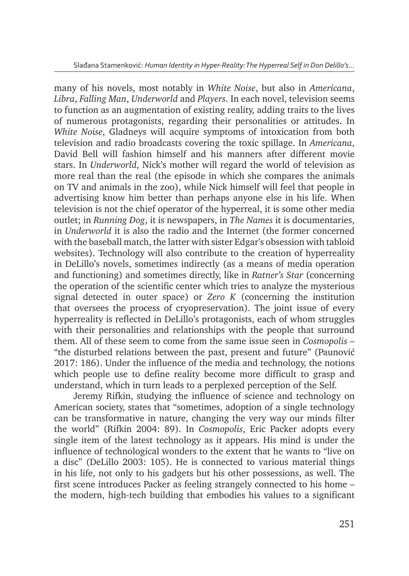many of his novels, most notably in *White Noise*, but also in *Americana*, *Libra*, *Falling Man*, *Underworld* and *Players*. In each novel, television seems to function as an augmentation of existing reality, adding traits to the lives of numerous protagonists, regarding their personalities or attitudes. In *White Noise*, Gladneys will acquire symptoms of intoxication from both television and radio broadcasts covering the toxic spillage. In *Americana*, David Bell will fashion himself and his manners after different movie stars. In *Underworld*, Nick's mother will regard the world of television as more real than the real (the episode in which she compares the animals on TV and animals in the zoo), while Nick himself will feel that people in advertising know him better than perhaps anyone else in his life. When television is not the chief operator of the hyperreal, it is some other media outlet; in *Running Dog*, it is newspapers, in *The Names* it is documentaries, in *Underworld* it is also the radio and the Internet (the former concerned with the baseball match, the latter with sister Edgar's obsession with tabloid websites). Technology will also contribute to the creation of hyperreality in DeLillo's novels, sometimes indirectly (as a means of media operation and functioning) and sometimes directly, like in *Ratner's Star* (concerning the operation of the scientific center which tries to analyze the mysterious signal detected in outer space) or *Zero K* (concerning the institution that oversees the process of cryopreservation). The joint issue of every hyperreality is reflected in DeLillo's protagonists, each of whom struggles with their personalities and relationships with the people that surround them. All of these seem to come from the same issue seen in *Cosmopolis* – "the disturbed relations between the past, present and future" (Paunović 2017: 186). Under the influence of the media and technology, the notions which people use to define reality become more difficult to grasp and understand, which in turn leads to a perplexed perception of the Self.

Jeremy Rifkin, studying the influence of science and technology on American society, states that "sometimes, adoption of a single technology can be transformative in nature, changing the very way our minds filter the world" (Rifkin 2004: 89). In *Cosmopolis*, Eric Packer adopts every single item of the latest technology as it appears. His mind is under the influence of technological wonders to the extent that he wants to "live on a disc" (DeLillo 2003: 105). He is connected to various material things in his life, not only to his gadgets but his other possessions, as well. The first scene introduces Packer as feeling strangely connected to his home – the modern, high-tech building that embodies his values to a significant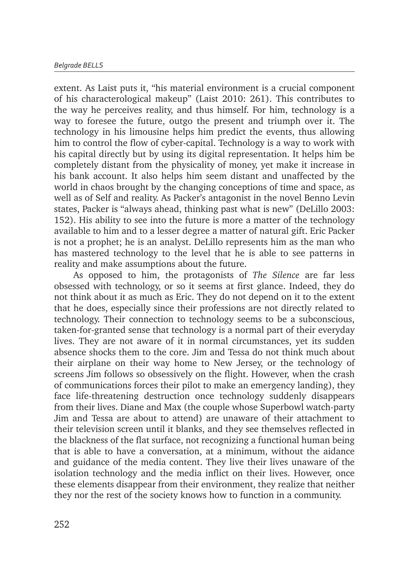extent. As Laist puts it, "his material environment is a crucial component of his characterological makeup" (Laist 2010: 261). This contributes to the way he perceives reality, and thus himself. For him, technology is a way to foresee the future, outgo the present and triumph over it. The technology in his limousine helps him predict the events, thus allowing him to control the flow of cyber-capital. Technology is a way to work with his capital directly but by using its digital representation. It helps him be completely distant from the physicality of money, yet make it increase in his bank account. It also helps him seem distant and unaffected by the world in chaos brought by the changing conceptions of time and space, as well as of Self and reality. As Packer's antagonist in the novel Benno Levin states, Packer is "always ahead, thinking past what is new" (DeLillo 2003: 152). His ability to see into the future is more a matter of the technology available to him and to a lesser degree a matter of natural gift. Eric Packer is not a prophet; he is an analyst. DeLillo represents him as the man who has mastered technology to the level that he is able to see patterns in reality and make assumptions about the future.

As opposed to him, the protagonists of *The Silence* are far less obsessed with technology, or so it seems at first glance. Indeed, they do not think about it as much as Eric. They do not depend on it to the extent that he does, especially since their professions are not directly related to technology. Their connection to technology seems to be a subconscious, taken-for-granted sense that technology is a normal part of their everyday lives. They are not aware of it in normal circumstances, yet its sudden absence shocks them to the core. Jim and Tessa do not think much about their airplane on their way home to New Jersey, or the technology of screens Jim follows so obsessively on the flight. However, when the crash of communications forces their pilot to make an emergency landing), they face life-threatening destruction once technology suddenly disappears from their lives. Diane and Max (the couple whose Superbowl watch-party Jim and Tessa are about to attend) are unaware of their attachment to their television screen until it blanks, and they see themselves reflected in the blackness of the flat surface, not recognizing a functional human being that is able to have a conversation, at a minimum, without the aidance and guidance of the media content. They live their lives unaware of the isolation technology and the media inflict on their lives. However, once these elements disappear from their environment, they realize that neither they nor the rest of the society knows how to function in a community.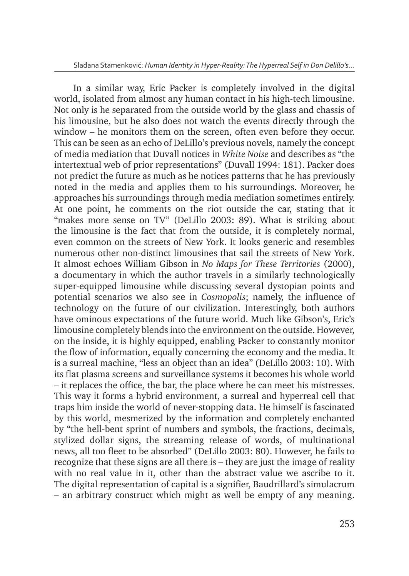In a similar way, Eric Packer is completely involved in the digital world, isolated from almost any human contact in his high-tech limousine. Not only is he separated from the outside world by the glass and chassis of his limousine, but he also does not watch the events directly through the window – he monitors them on the screen, often even before they occur. This can be seen as an echo of DeLillo's previous novels, namely the concept of media mediation that Duvall notices in *White Noise* and describes as "the intertextual web of prior representations" (Duvall 1994: 181). Packer does not predict the future as much as he notices patterns that he has previously noted in the media and applies them to his surroundings. Moreover, he approaches his surroundings through media mediation sometimes entirely. At one point, he comments on the riot outside the car, stating that it "makes more sense on TV" (DeLillo 2003: 89). What is striking about the limousine is the fact that from the outside, it is completely normal, even common on the streets of New York. It looks generic and resembles numerous other non-distinct limousines that sail the streets of New York. It almost echoes William Gibson in *No Maps for These Territories* (2000), a documentary in which the author travels in a similarly technologically super-equipped limousine while discussing several dystopian points and potential scenarios we also see in *Cosmopolis*; namely, the influence of technology on the future of our civilization. Interestingly, both authors have ominous expectations of the future world. Much like Gibson's, Eric's limousine completely blends into the environment on the outside. However, on the inside, it is highly equipped, enabling Packer to constantly monitor the flow of information, equally concerning the economy and the media. It is a surreal machine, "less an object than an idea" (DeLillo 2003: 10). With its flat plasma screens and surveillance systems it becomes his whole world – it replaces the office, the bar, the place where he can meet his mistresses. This way it forms a hybrid environment, a surreal and hyperreal cell that traps him inside the world of never-stopping data. He himself is fascinated by this world, mesmerized by the information and completely enchanted by "the hell-bent sprint of numbers and symbols, the fractions, decimals, stylized dollar signs, the streaming release of words, of multinational news, all too fleet to be absorbed" (DeLillo 2003: 80). However, he fails to recognize that these signs are all there is – they are just the image of reality with no real value in it, other than the abstract value we ascribe to it. The digital representation of capital is a signifier, Baudrillard's simulacrum – an arbitrary construct which might as well be empty of any meaning.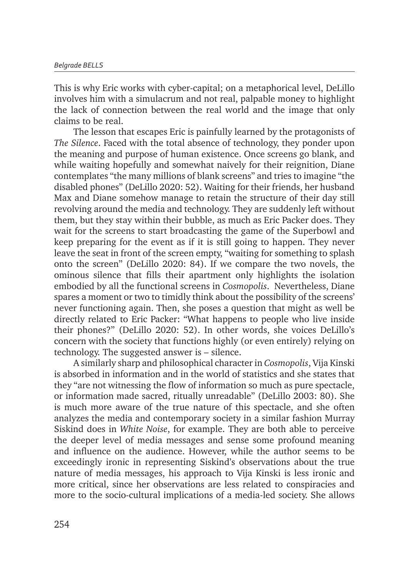This is why Eric works with cyber-capital; on a metaphorical level, DeLillo involves him with a simulacrum and not real, palpable money to highlight the lack of connection between the real world and the image that only claims to be real.

The lesson that escapes Eric is painfully learned by the protagonists of *The Silence*. Faced with the total absence of technology, they ponder upon the meaning and purpose of human existence. Once screens go blank, and while waiting hopefully and somewhat naively for their reignition, Diane contemplates "the many millions of blank screens" and tries to imagine "the disabled phones" (DeLillo 2020: 52). Waiting for their friends, her husband Max and Diane somehow manage to retain the structure of their day still revolving around the media and technology. They are suddenly left without them, but they stay within their bubble, as much as Eric Packer does. They wait for the screens to start broadcasting the game of the Superbowl and keep preparing for the event as if it is still going to happen. They never leave the seat in front of the screen empty, "waiting for something to splash onto the screen" (DeLillo 2020: 84). If we compare the two novels, the ominous silence that fills their apartment only highlights the isolation embodied by all the functional screens in *Cosmopolis*. Nevertheless, Diane spares a moment or two to timidly think about the possibility of the screens' never functioning again. Then, she poses a question that might as well be directly related to Eric Packer: "What happens to people who live inside their phones?" (DeLillo 2020: 52). In other words, she voices DeLillo's concern with the society that functions highly (or even entirely) relying on technology. The suggested answer is – silence.

A similarly sharp and philosophical character in *Cosmopolis*, Vija Kinski is absorbed in information and in the world of statistics and she states that they "are not witnessing the flow of information so much as pure spectacle, or information made sacred, ritually unreadable" (DeLillo 2003: 80). She is much more aware of the true nature of this spectacle, and she often analyzes the media and contemporary society in a similar fashion Murray Siskind does in *White Noise*, for example. They are both able to perceive the deeper level of media messages and sense some profound meaning and influence on the audience. However, while the author seems to be exceedingly ironic in representing Siskind's observations about the true nature of media messages, his approach to Vija Kinski is less ironic and more critical, since her observations are less related to conspiracies and more to the socio-cultural implications of a media-led society. She allows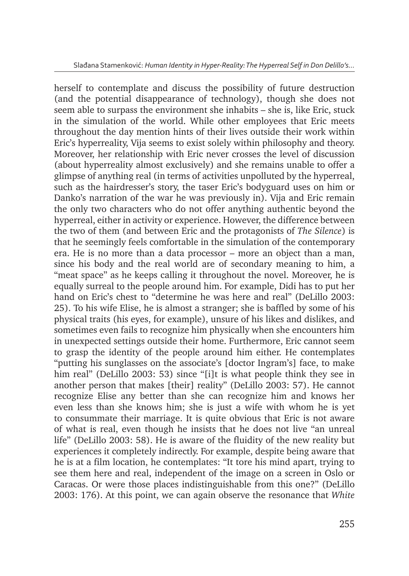herself to contemplate and discuss the possibility of future destruction (and the potential disappearance of technology), though she does not seem able to surpass the environment she inhabits – she is, like Eric, stuck in the simulation of the world. While other employees that Eric meets throughout the day mention hints of their lives outside their work within Eric's hyperreality, Vija seems to exist solely within philosophy and theory. Moreover, her relationship with Eric never crosses the level of discussion (about hyperreality almost exclusively) and she remains unable to offer a glimpse of anything real (in terms of activities unpolluted by the hyperreal, such as the hairdresser's story, the taser Eric's bodyguard uses on him or Danko's narration of the war he was previously in). Vija and Eric remain the only two characters who do not offer anything authentic beyond the hyperreal, either in activity or experience. However, the difference between the two of them (and between Eric and the protagonists of *The Silence*) is that he seemingly feels comfortable in the simulation of the contemporary era. He is no more than a data processor – more an object than a man, since his body and the real world are of secondary meaning to him, a "meat space" as he keeps calling it throughout the novel. Moreover, he is equally surreal to the people around him. For example, Didi has to put her hand on Eric's chest to "determine he was here and real" (DeLillo 2003: 25). To his wife Elise, he is almost a stranger; she is baffled by some of his physical traits (his eyes, for example), unsure of his likes and dislikes, and sometimes even fails to recognize him physically when she encounters him in unexpected settings outside their home. Furthermore, Eric cannot seem to grasp the identity of the people around him either. He contemplates "putting his sunglasses on the associate's [doctor Ingram's] face, to make him real" (DeLillo 2003: 53) since "[i]t is what people think they see in another person that makes [their] reality" (DeLillo 2003: 57). He cannot recognize Elise any better than she can recognize him and knows her even less than she knows him; she is just a wife with whom he is yet to consummate their marriage. It is quite obvious that Eric is not aware of what is real, even though he insists that he does not live "an unreal life" (DeLillo 2003: 58). He is aware of the fluidity of the new reality but experiences it completely indirectly. For example, despite being aware that he is at a film location, he contemplates: "It tore his mind apart, trying to see them here and real, independent of the image on a screen in Oslo or Caracas. Or were those places indistinguishable from this one?" (DeLillo 2003: 176). At this point, we can again observe the resonance that *White*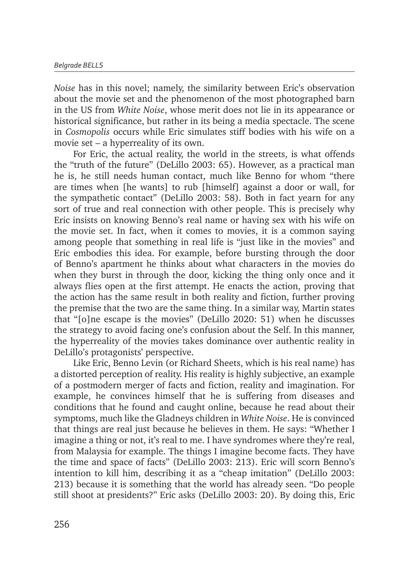*Noise* has in this novel; namely, the similarity between Eric's observation about the movie set and the phenomenon of the most photographed barn in the US from *White Noise*, whose merit does not lie in its appearance or historical significance, but rather in its being a media spectacle. The scene in *Cosmopolis* occurs while Eric simulates stiff bodies with his wife on a movie set – a hyperreality of its own.

For Eric, the actual reality, the world in the streets, is what offends the "truth of the future" (DeLillo 2003: 65). However, as a practical man he is, he still needs human contact, much like Benno for whom "there are times when [he wants] to rub [himself] against a door or wall, for the sympathetic contact" (DeLillo 2003: 58). Both in fact yearn for any sort of true and real connection with other people. This is precisely why Eric insists on knowing Benno's real name or having sex with his wife on the movie set. In fact, when it comes to movies, it is a common saying among people that something in real life is "just like in the movies" and Eric embodies this idea. For example, before bursting through the door of Benno's apartment he thinks about what characters in the movies do when they burst in through the door, kicking the thing only once and it always flies open at the first attempt. He enacts the action, proving that the action has the same result in both reality and fiction, further proving the premise that the two are the same thing. In a similar way, Martin states that "[o]ne escape is the movies" (DeLillo 2020: 51) when he discusses the strategy to avoid facing one's confusion about the Self. In this manner, the hyperreality of the movies takes dominance over authentic reality in DeLillo's protagonists' perspective.

Like Eric, Benno Levin (or Richard Sheets, which is his real name) has a distorted perception of reality. His reality is highly subjective, an example of a postmodern merger of facts and fiction, reality and imagination. For example, he convinces himself that he is suffering from diseases and conditions that he found and caught online, because he read about their symptoms, much like the Gladneys children in *White Noise*. He is convinced that things are real just because he believes in them. He says: "Whether I imagine a thing or not, it's real to me. I have syndromes where they're real, from Malaysia for example. The things I imagine become facts. They have the time and space of facts" (DeLillo 2003: 213). Eric will scorn Benno's intention to kill him, describing it as a "cheap imitation" (DeLillo 2003: 213) because it is something that the world has already seen. "Do people still shoot at presidents?" Eric asks (DeLillo 2003: 20). By doing this, Eric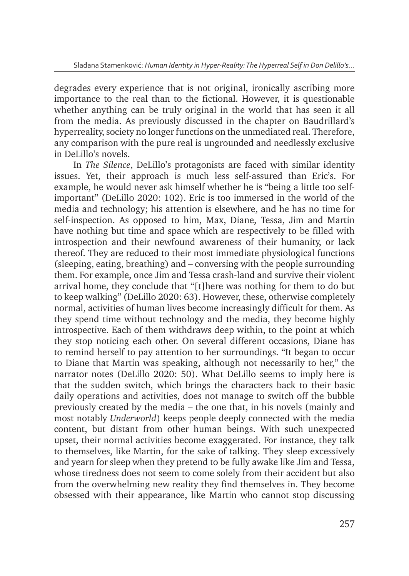degrades every experience that is not original, ironically ascribing more importance to the real than to the fictional. However, it is questionable whether anything can be truly original in the world that has seen it all from the media. As previously discussed in the chapter on Baudrillard's hyperreality, society no longer functions on the unmediated real. Therefore, any comparison with the pure real is ungrounded and needlessly exclusive in DeLillo's novels.

In *The Silence*, DeLillo's protagonists are faced with similar identity issues. Yet, their approach is much less self-assured than Eric's. For example, he would never ask himself whether he is "being a little too selfimportant" (DeLillo 2020: 102). Eric is too immersed in the world of the media and technology; his attention is elsewhere, and he has no time for self-inspection. As opposed to him, Max, Diane, Tessa, Jim and Martin have nothing but time and space which are respectively to be filled with introspection and their newfound awareness of their humanity, or lack thereof. They are reduced to their most immediate physiological functions (sleeping, eating, breathing) and – conversing with the people surrounding them. For example, once Jim and Tessa crash-land and survive their violent arrival home, they conclude that "[t]here was nothing for them to do but to keep walking" (DeLillo 2020: 63). However, these, otherwise completely normal, activities of human lives become increasingly difficult for them. As they spend time without technology and the media, they become highly introspective. Each of them withdraws deep within, to the point at which they stop noticing each other. On several different occasions, Diane has to remind herself to pay attention to her surroundings. "It began to occur to Diane that Martin was speaking, although not necessarily to her," the narrator notes (DeLillo 2020: 50). What DeLillo seems to imply here is that the sudden switch, which brings the characters back to their basic daily operations and activities, does not manage to switch off the bubble previously created by the media – the one that, in his novels (mainly and most notably *Underworld*) keeps people deeply connected with the media content, but distant from other human beings. With such unexpected upset, their normal activities become exaggerated. For instance, they talk to themselves, like Martin, for the sake of talking. They sleep excessively and yearn for sleep when they pretend to be fully awake like Jim and Tessa, whose tiredness does not seem to come solely from their accident but also from the overwhelming new reality they find themselves in. They become obsessed with their appearance, like Martin who cannot stop discussing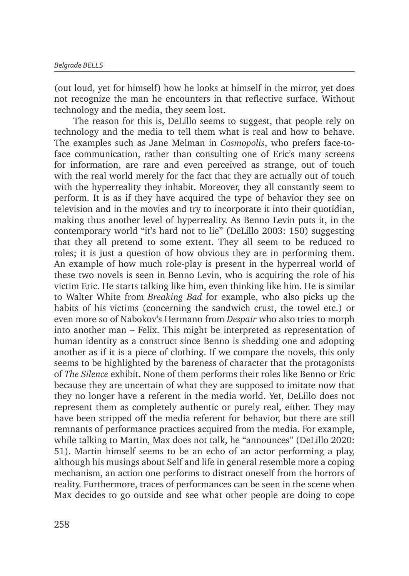(out loud, yet for himself) how he looks at himself in the mirror, yet does not recognize the man he encounters in that reflective surface. Without technology and the media, they seem lost.

The reason for this is, DeLillo seems to suggest, that people rely on technology and the media to tell them what is real and how to behave. The examples such as Jane Melman in *Cosmopolis*, who prefers face-toface communication, rather than consulting one of Eric's many screens for information, are rare and even perceived as strange, out of touch with the real world merely for the fact that they are actually out of touch with the hyperreality they inhabit. Moreover, they all constantly seem to perform. It is as if they have acquired the type of behavior they see on television and in the movies and try to incorporate it into their quotidian, making thus another level of hyperreality. As Benno Levin puts it, in the contemporary world "it's hard not to lie" (DeLillo 2003: 150) suggesting that they all pretend to some extent. They all seem to be reduced to roles; it is just a question of how obvious they are in performing them. An example of how much role-play is present in the hyperreal world of these two novels is seen in Benno Levin, who is acquiring the role of his victim Eric. He starts talking like him, even thinking like him. He is similar to Walter White from *Breaking Bad* for example, who also picks up the habits of his victims (concerning the sandwich crust, the towel etc.) or even more so of Nabokov's Hermann from *Despair* who also tries to morph into another man – Felix. This might be interpreted as representation of human identity as a construct since Benno is shedding one and adopting another as if it is a piece of clothing. If we compare the novels, this only seems to be highlighted by the bareness of character that the protagonists of *The Silence* exhibit. None of them performs their roles like Benno or Eric because they are uncertain of what they are supposed to imitate now that they no longer have a referent in the media world. Yet, DeLillo does not represent them as completely authentic or purely real, either. They may have been stripped off the media referent for behavior, but there are still remnants of performance practices acquired from the media. For example, while talking to Martin, Max does not talk, he "announces" (DeLillo 2020: 51). Martin himself seems to be an echo of an actor performing a play, although his musings about Self and life in general resemble more a coping mechanism, an action one performs to distract oneself from the horrors of reality. Furthermore, traces of performances can be seen in the scene when Max decides to go outside and see what other people are doing to cope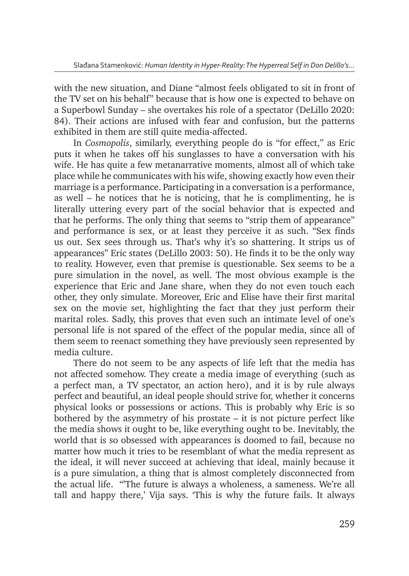with the new situation, and Diane "almost feels obligated to sit in front of the TV set on his behalf" because that is how one is expected to behave on a Superbowl Sunday – she overtakes his role of a spectator (DeLillo 2020: 84). Their actions are infused with fear and confusion, but the patterns exhibited in them are still quite media-affected.

In *Cosmopolis*, similarly, everything people do is "for effect," as Eric puts it when he takes off his sunglasses to have a conversation with his wife. He has quite a few metanarrative moments, almost all of which take place while he communicates with his wife, showing exactly how even their marriage is a performance. Participating in a conversation is a performance, as well – he notices that he is noticing, that he is complimenting, he is literally uttering every part of the social behavior that is expected and that he performs. The only thing that seems to "strip them of appearance" and performance is sex, or at least they perceive it as such. "Sex finds us out. Sex sees through us. That's why it's so shattering. It strips us of appearances" Eric states (DeLillo 2003: 50). He finds it to be the only way to reality. However, even that premise is questionable. Sex seems to be a pure simulation in the novel, as well. The most obvious example is the experience that Eric and Jane share, when they do not even touch each other, they only simulate. Moreover, Eric and Elise have their first marital sex on the movie set, highlighting the fact that they just perform their marital roles. Sadly, this proves that even such an intimate level of one's personal life is not spared of the effect of the popular media, since all of them seem to reenact something they have previously seen represented by media culture.

There do not seem to be any aspects of life left that the media has not affected somehow. They create a media image of everything (such as a perfect man, a TV spectator, an action hero), and it is by rule always perfect and beautiful, an ideal people should strive for, whether it concerns physical looks or possessions or actions. This is probably why Eric is so bothered by the asymmetry of his prostate – it is not picture perfect like the media shows it ought to be, like everything ought to be. Inevitably, the world that is so obsessed with appearances is doomed to fail, because no matter how much it tries to be resemblant of what the media represent as the ideal, it will never succeed at achieving that ideal, mainly because it is a pure simulation, a thing that is almost completely disconnected from the actual life. "'The future is always a wholeness, a sameness. We're all tall and happy there,' Vija says. 'This is why the future fails. It always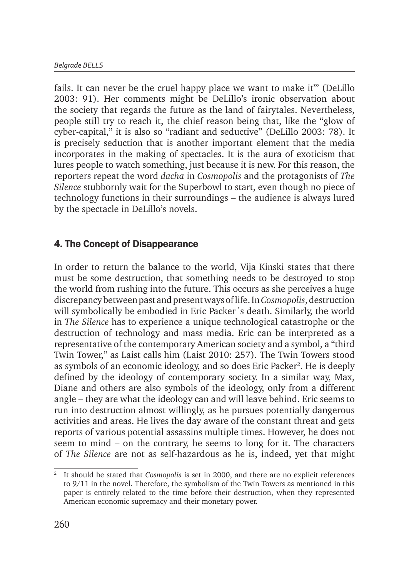fails. It can never be the cruel happy place we want to make it'" (DeLillo 2003: 91). Her comments might be DeLillo's ironic observation about the society that regards the future as the land of fairytales. Nevertheless, people still try to reach it, the chief reason being that, like the "glow of cyber-capital," it is also so "radiant and seductive" (DeLillo 2003: 78). It is precisely seduction that is another important element that the media incorporates in the making of spectacles. It is the aura of exoticism that lures people to watch something, just because it is new. For this reason, the reporters repeat the word *dacha* in *Cosmopolis* and the protagonists of *The Silence* stubbornly wait for the Superbowl to start, even though no piece of technology functions in their surroundings – the audience is always lured by the spectacle in DeLillo's novels.

# 4. The Concept of Disappearance

In order to return the balance to the world, Vija Kinski states that there must be some destruction, that something needs to be destroyed to stop the world from rushing into the future. This occurs as she perceives a huge discrepancy between past and present ways of life. In *Cosmopolis*, destruction will symbolically be embodied in Eric Packer´s death. Similarly, the world in *The Silence* has to experience a unique technological catastrophe or the destruction of technology and mass media. Eric can be interpreted as a representative of the contemporary American society and a symbol, a "third Twin Tower," as Laist calls him (Laist 2010: 257). The Twin Towers stood as symbols of an economic ideology, and so does Eric Packer<sup>2</sup>. He is deeply defined by the ideology of contemporary society. In a similar way, Max, Diane and others are also symbols of the ideology, only from a different angle – they are what the ideology can and will leave behind. Eric seems to run into destruction almost willingly, as he pursues potentially dangerous activities and areas. He lives the day aware of the constant threat and gets reports of various potential assassins multiple times. However, he does not seem to mind – on the contrary, he seems to long for it. The characters of *The Silence* are not as self-hazardous as he is, indeed, yet that might

<sup>2</sup> It should be stated that *Cosmopolis* is set in 2000, and there are no explicit references to 9/11 in the novel. Therefore, the symbolism of the Twin Towers as mentioned in this paper is entirely related to the time before their destruction, when they represented American economic supremacy and their monetary power.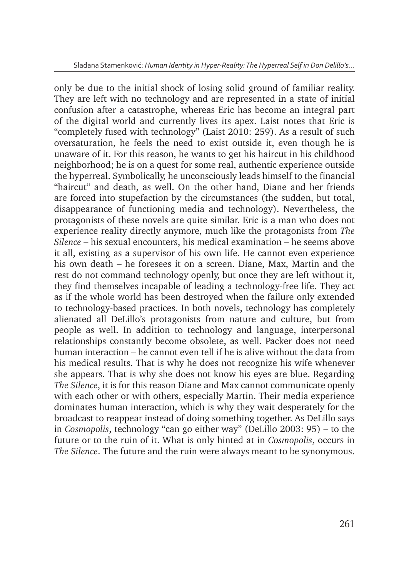only be due to the initial shock of losing solid ground of familiar reality. They are left with no technology and are represented in a state of initial confusion after a catastrophe, whereas Eric has become an integral part of the digital world and currently lives its apex. Laist notes that Eric is "completely fused with technology" (Laist 2010: 259). As a result of such oversaturation, he feels the need to exist outside it, even though he is unaware of it. For this reason, he wants to get his haircut in his childhood neighborhood; he is on a quest for some real, authentic experience outside the hyperreal. Symbolically, he unconsciously leads himself to the financial "haircut" and death, as well. On the other hand, Diane and her friends are forced into stupefaction by the circumstances (the sudden, but total, disappearance of functioning media and technology). Nevertheless, the protagonists of these novels are quite similar. Eric is a man who does not experience reality directly anymore, much like the protagonists from *The Silence* – his sexual encounters, his medical examination – he seems above it all, existing as a supervisor of his own life. He cannot even experience his own death – he foresees it on a screen. Diane, Max, Martin and the rest do not command technology openly, but once they are left without it, they find themselves incapable of leading a technology-free life. They act as if the whole world has been destroyed when the failure only extended to technology-based practices. In both novels, technology has completely alienated all DeLillo's protagonists from nature and culture, but from people as well. In addition to technology and language, interpersonal relationships constantly become obsolete, as well. Packer does not need human interaction – he cannot even tell if he is alive without the data from his medical results. That is why he does not recognize his wife whenever she appears. That is why she does not know his eyes are blue. Regarding *The Silence*, it is for this reason Diane and Max cannot communicate openly with each other or with others, especially Martin. Their media experience dominates human interaction, which is why they wait desperately for the broadcast to reappear instead of doing something together. As DeLillo says in *Cosmopolis*, technology "can go either way" (DeLillo 2003: 95) – to the future or to the ruin of it. What is only hinted at in *Cosmopolis*, occurs in *The Silence*. The future and the ruin were always meant to be synonymous.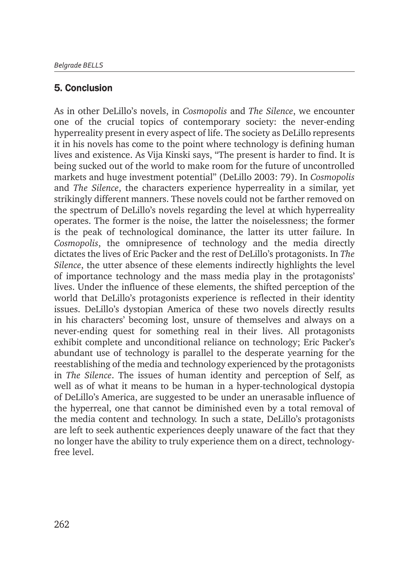### 5. Conclusion

As in other DeLillo's novels, in *Cosmopolis* and *The Silence*, we encounter one of the crucial topics of contemporary society: the never-ending hyperreality present in every aspect of life. The society as DeLillo represents it in his novels has come to the point where technology is defining human lives and existence. As Vija Kinski says, "The present is harder to find. It is being sucked out of the world to make room for the future of uncontrolled markets and huge investment potential" (DeLillo 2003: 79). In *Cosmopolis* and *The Silence*, the characters experience hyperreality in a similar, yet strikingly different manners. These novels could not be farther removed on the spectrum of DeLillo's novels regarding the level at which hyperreality operates. The former is the noise, the latter the noiselessness; the former is the peak of technological dominance, the latter its utter failure. In *Cosmopolis*, the omnipresence of technology and the media directly dictates the lives of Eric Packer and the rest of DeLillo's protagonists. In *The Silence*, the utter absence of these elements indirectly highlights the level of importance technology and the mass media play in the protagonists' lives. Under the influence of these elements, the shifted perception of the world that DeLillo's protagonists experience is reflected in their identity issues. DeLillo's dystopian America of these two novels directly results in his characters' becoming lost, unsure of themselves and always on a never-ending quest for something real in their lives. All protagonists exhibit complete and unconditional reliance on technology; Eric Packer's abundant use of technology is parallel to the desperate yearning for the reestablishing of the media and technology experienced by the protagonists in *The Silence*. The issues of human identity and perception of Self, as well as of what it means to be human in a hyper-technological dystopia of DeLillo's America, are suggested to be under an unerasable influence of the hyperreal, one that cannot be diminished even by a total removal of the media content and technology. In such a state, DeLillo's protagonists are left to seek authentic experiences deeply unaware of the fact that they no longer have the ability to truly experience them on a direct, technologyfree level.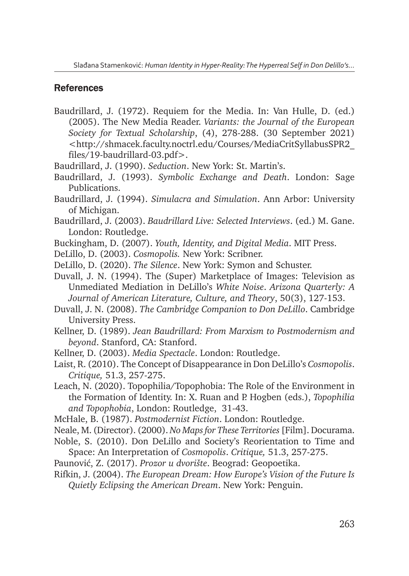#### **References**

- Baudrillard, J. (1972). Requiem for the Media. In: Van Hulle, D. (ed.) (2005). The New Media Reader. *Variants: the Journal of the European Society for Textual Scholarship*, (4), 278-288. (30 September 2021) <http://shmacek.faculty.noctrl.edu/Courses/MediaCritSyllabusSPR2\_ files/19-baudrillard-03.pdf>.
- Baudrillard, J. (1990). *Seduction*. New York: St. Martin's.
- Baudrillard, J. (1993). *Symbolic Exchange and Death*. London: Sage Publications.
- Baudrillard, J. (1994). *Simulacra and Simulation*. Ann Arbor: University of Michigan.
- Baudrillard, J. (2003). *Baudrillard Live: Selected Interviews*. (ed.) M. Gane. London: Routledge.
- Buckingham, D. (2007). *Youth, Identity, and Digital Media*. MIT Press.
- DeLillo, D. (2003). *Cosmopolis.* New York: Scribner.
- DeLillo, D. (2020). *The Silence*. New York: Symon and Schuster.
- Duvall, J. N. (1994). The (Super) Marketplace of Images: Television as Unmediated Mediation in DeLillo's *White Noise*. *Arizona Quarterly: A Journal of American Literature, Culture, and Theory*, 50(3), 127-153.
- Duvall, J. N. (2008). *The Cambridge Companion to Don DeLillo*. Cambridge University Press.
- Kellner, D. (1989). *Jean Baudrillard: From Marxism to Postmodernism and beyond*. Stanford, CA: Stanford.
- Kellner, D. (2003). *Media Spectacle*. London: Routledge.
- Laist, R. (2010). The Concept of Disappearance in Don DeLillo's *Cosmopolis*. *Critique,* 51.3, 257-275.
- Leach, N. (2020). Topophilia/Topophobia: The Role of the Environment in the Formation of Identity. In: X. Ruan and P. Hogben (eds.), *Topophilia and Topophobia*, London: Routledge, 31-43.
- McHale, B. (1987). *Postmodernist Fiction*. London: Routledge.
- Neale, M. (Director). (2000). *No Maps for These Territories* [Film]. Docurama.
- Noble, S. (2010). Don DeLillo and Society's Reorientation to Time and Space: An Interpretation of *Cosmopolis*. *Critique,* 51.3, 257-275.
- Paunović, Z. (2017). *Prozor u dvorište*. Beograd: Geopoetika.
- Rifkin, J. (2004). *The European Dream: How Europe's Vision of the Future Is Quietly Eclipsing the American Dream*. New York: Penguin.